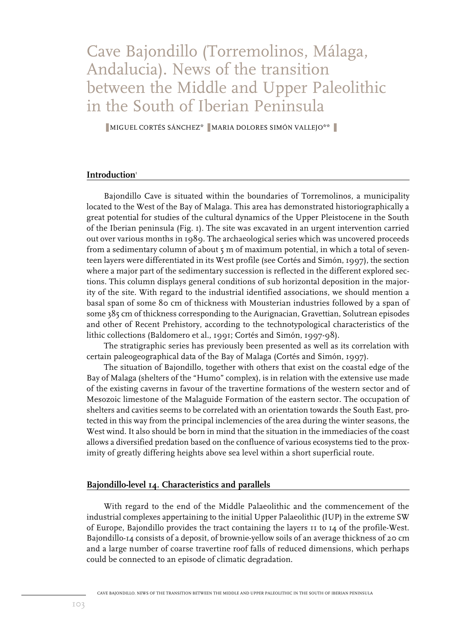# Cave Bajondillo (Torremolinos, Málaga, Andalucia). News of the transition between the Middle and Upper Paleolithic in the South of Iberian Peninsula

■ MIGUEL CORTÉS SÁNCHEZ<sup>\*</sup> ■ MARIA DOLORES SIMÓN VALLEJO<sup>\*\*</sup>

#### **Introduction**<sup>1</sup>

Bajondillo Cave is situated within the boundaries of Torremolinos, a municipality located to the West of the Bay of Malaga. This area has demonstrated historiographically a great potential for studies of the cultural dynamics of the Upper Pleistocene in the South of the Iberian peninsula (Fig. 1). The site was excavated in an urgent intervention carried out over various months in 1989. The archaeological series which was uncovered proceeds from a sedimentary column of about 5 m of maximum potential, in which a total of seventeen layers were differentiated in its West profile (see Cortés and Simón, 1997), the section where a major part of the sedimentary succession is reflected in the different explored sections. This column displays general conditions of sub horizontal deposition in the majority of the site. With regard to the industrial identified associations, we should mention a basal span of some 80 cm of thickness with Mousterian industries followed by a span of some 385 cm of thickness corresponding to the Aurignacian, Gravettian, Solutrean episodes and other of Recent Prehistory, according to the technotypological characteristics of the lithic collections (Baldomero et al., 1991; Cortés and Simón, 1997-98).

The stratigraphic series has previously been presented as well as its correlation with certain paleogeographical data of the Bay of Malaga (Cortés and Simón, 1997).

The situation of Bajondillo, together with others that exist on the coastal edge of the Bay of Malaga (shelters of the "Humo" complex), is in relation with the extensive use made of the existing caverns in favour of the travertine formations of the western sector and of Mesozoic limestone of the Malaguide Formation of the eastern sector. The occupation of shelters and cavities seems to be correlated with an orientation towards the South East, protected in this way from the principal inclemencies of the area during the winter seasons, the West wind. It also should be born in mind that the situation in the immediacies of the coast allows a diversified predation based on the confluence of various ecosystems tied to the proximity of greatly differing heights above sea level within a short superficial route.

#### **Bajondillo-level 14. Characteristics and parallels**

With regard to the end of the Middle Palaeolithic and the commencement of the industrial complexes appertaining to the initial Upper Palaeolithic (IUP) in the extreme SW of Europe, Bajondillo provides the tract containing the layers 11 to 14 of the profile-West. Bajondillo-14 consists of a deposit, of brownie-yellow soils of an average thickness of 20 cm and a large number of coarse travertine roof falls of reduced dimensions, which perhaps could be connected to an episode of climatic degradation.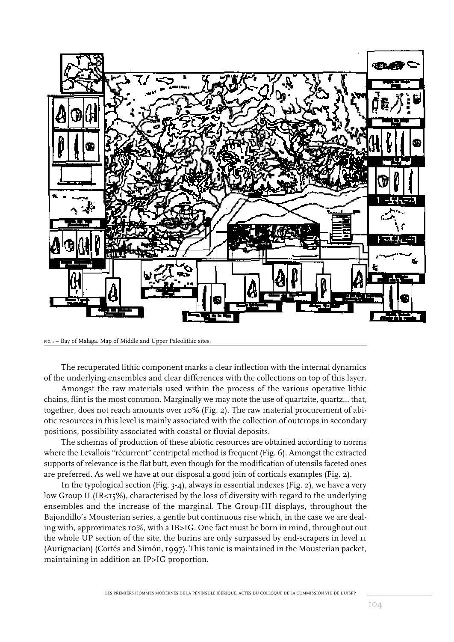

FIG. 1 – Bay of Malaga. Map of Middle and Upper Paleolithic sites.

The recuperated lithic component marks a clear inflection with the internal dynamics of the underlying ensembles and clear differences with the collections on top of this layer.

Amongst the raw materials used within the process of the various operative lithic chains, flint is the most common. Marginally we may note the use of quartzite, quartz... that, together, does not reach amounts over 10% (Fig. 2). The raw material procurement of abiotic resources in this level is mainly associated with the collection of outcrops in secondary positions, possibility associated with coastal or fluvial deposits.

The schemas of production of these abiotic resources are obtained according to norms where the Levallois "récurrent" centripetal method is frequent (Fig. 6). Amongst the extracted supports of relevance is the flat butt, even though for the modification of utensils faceted ones are preferred. As well we have at our disposal a good join of corticals examples (Fig. 2).

In the typological section (Fig. 3-4), always in essential indexes (Fig. 2), we have a very low Group II (IR<15%), characterised by the loss of diversity with regard to the underlying ensembles and the increase of the marginal. The Group-III displays, throughout the Bajondillo's Mousterian series, a gentle but continuous rise which, in the case we are dealing with, approximates 10%, with a IB>IG. One fact must be born in mind, throughout out the whole UP section of the site, the burins are only surpassed by end-scrapers in level 11 (Aurignacian) (Cortés and Simón, 1997). This tonic is maintained in the Mousterian packet, maintaining in addition an IP>IG proportion.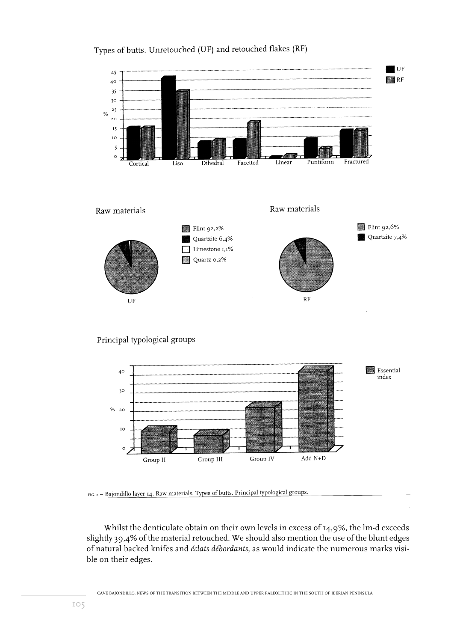

## Types of butts. Unretouched (UF) and retouched flakes (RF)

Principal typological groups



FIG. 2 - Bajondillo layer 14. Raw materials. Types of butts. Principal typological groups.

Whilst the denticulate obtain on their own levels in excess of 14,9%, the lm-d exceeds slightly 39,4% of the material retouched. We should also mention the use of the blunt edges of natural backed knifes and *éclats débordants*, as would indicate the numerous marks visible on their edges.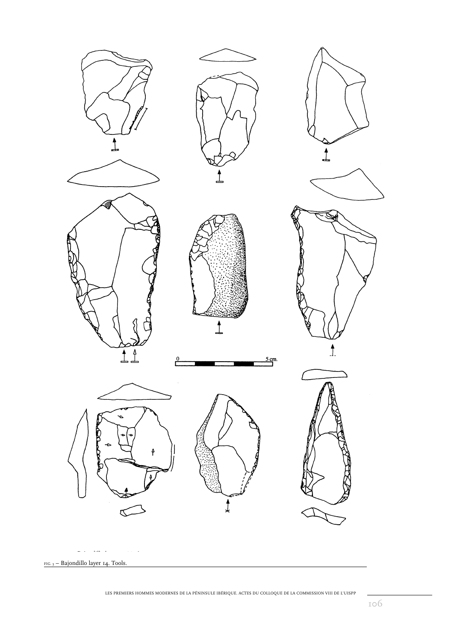

LES PREMIERS HOMMES MODERNES DE LA PÉNINSULE IBÉRIQUE. ACTES DU COLLOQUE DE LA COMMISSION VIII DE L'UISPP

106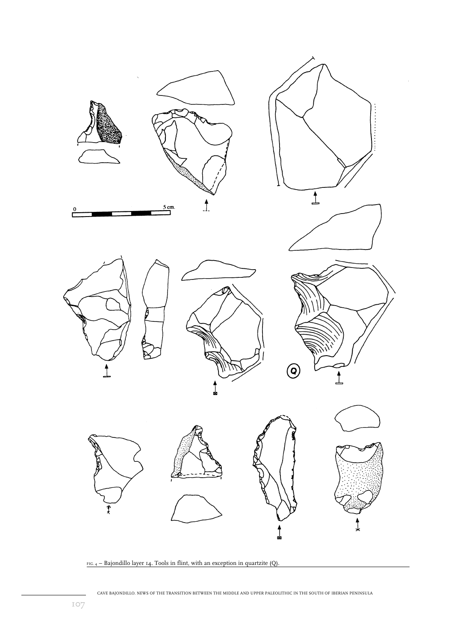

 $FIG. 4 - Bajondillo layer 14. Tools in flint, with an exception in quartzite (Q).$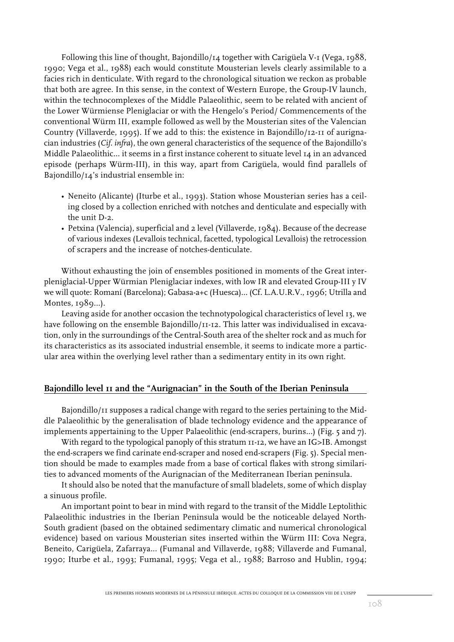Following this line of thought, Bajondillo/ $14$  together with Carigüela V-1 (Vega, 1988, 1990; Vega et al., 1988) each would constitute Mousterian levels clearly assimilable to a facies rich in denticulate. With regard to the chronological situation we reckon as probable that both are agree. In this sense, in the context of Western Europe, the Group-IV launch, within the technocomplexes of the Middle Palaeolithic, seem to be related with ancient of the Lower Würmiense Pleniglaciar or with the Hengelo's Period/ Commencements of the conventional Würm III, example followed as well by the Mousterian sites of the Valencian Country (Villaverde, 1995). If we add to this: the existence in Bajondillo/12-11 of aurignacian industries (*Cif. infra*), the own general characteristics of the sequence of the Bajondillo's Middle Palaeolithic... it seems in a first instance coherent to situate level 14 in an advanced episode (perhaps Würm-III), in this way, apart from Carigüela, would find parallels of Bajondillo/14's industrial ensemble in:

- Neneito (Alicante) (Iturbe et al., 1993). Station whose Mousterian series has a ceiling closed by a collection enriched with notches and denticulate and especially with the unit D-2.
- Petxina (Valencia), superficial and 2 level (Villaverde, 1984). Because of the decrease of various indexes (Levallois technical, facetted, typological Levallois) the retrocession of scrapers and the increase of notches-denticulate.

Without exhausting the join of ensembles positioned in moments of the Great interpleniglacial-Upper Würmian Pleniglaciar indexes, with low IR and elevated Group-III y IV we will quote: Romaní (Barcelona); Gabasa-a+c (Huesca)... (Cf. L.A.U.R.V., 1996; Utrilla and Montes, 1989...).

Leaving aside for another occasion the technotypological characteristics of level 13, we have following on the ensemble Bajondillo/II-12. This latter was individualised in excavation, only in the surroundings of the Central-South area of the shelter rock and as much for its characteristics as its associated industrial ensemble, it seems to indicate more a particular area within the overlying level rather than a sedimentary entity in its own right.

#### **Bajondillo level 11 and the "Aurignacian" in the South of the Iberian Peninsula**

Bajondillo/11 supposes a radical change with regard to the series pertaining to the Middle Palaeolithic by the generalisation of blade technology evidence and the appearance of implements appertaining to the Upper Palaeolithic (end-scrapers, burins...) (Fig. 5 and 7).

With regard to the typological panoply of this stratum  $II-I2$ , we have an IG>IB. Amongst the end-scrapers we find carinate end-scraper and nosed end-scrapers (Fig. 5). Special mention should be made to examples made from a base of cortical flakes with strong similarities to advanced moments of the Aurignacian of the Mediterranean Iberian peninsula.

It should also be noted that the manufacture of small bladelets, some of which display a sinuous profile.

An important point to bear in mind with regard to the transit of the Middle Leptolithic Palaeolithic industries in the Iberian Peninsula would be the noticeable delayed North-South gradient (based on the obtained sedimentary climatic and numerical chronological evidence) based on various Mousterian sites inserted within the Würm III: Cova Negra, Beneito, Carigüela, Zafarraya... (Fumanal and Villaverde, 1988; Villaverde and Fumanal, 1990; Iturbe et al., 1993; Fumanal, 1995; Vega et al.*,* 1988; Barroso and Hublin, 1994;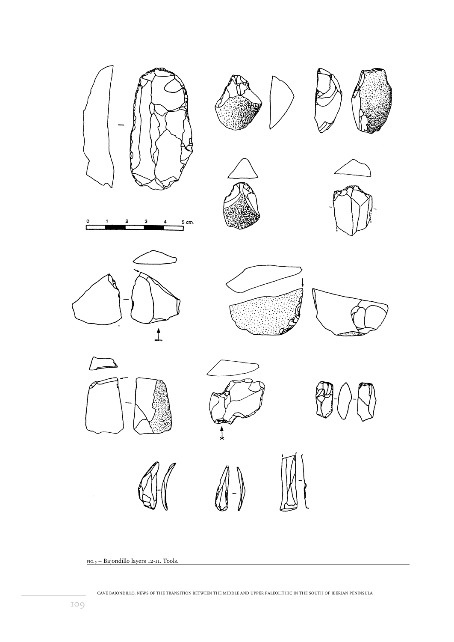

FIG. 5 – Bajondillo layers 12-11. Tools.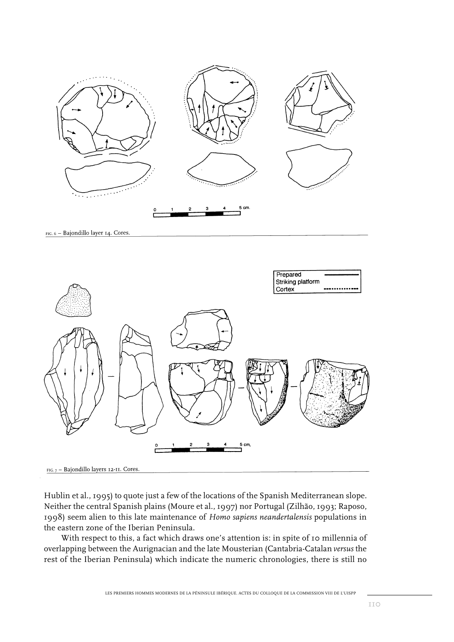

FIG. 6 - Bajondillo layer 14. Cores.



FIG.  $7$  - Bajondillo layers 12-II. Cores.

Hublin et al., 1995) to quote just a few of the locations of the Spanish Mediterranean slope. Neither the central Spanish plains (Moure et al., 1997) nor Portugal (Zilhão, 1993; Raposo, 1998) seem alien to this late maintenance of *Homo sapiens neandertalensis* populations in the eastern zone of the Iberian Peninsula.

With respect to this, a fact which draws one's attention is: in spite of 10 millennia of overlapping between the Aurignacian and the late Mousterian (Cantabria-Catalan *versus* the rest of the Iberian Peninsula) which indicate the numeric chronologies, there is still no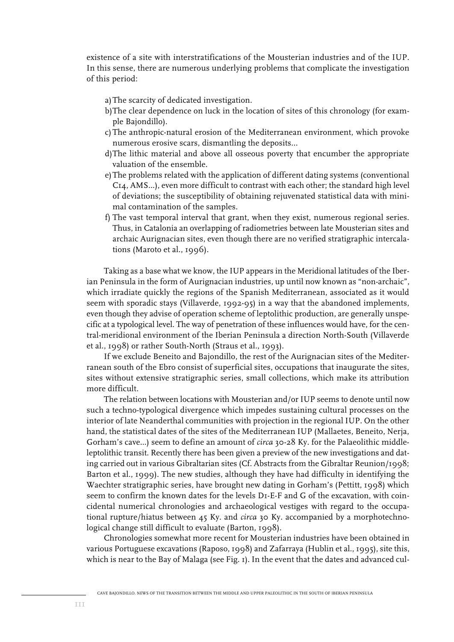existence of a site with interstratifications of the Mousterian industries and of the IUP. In this sense, there are numerous underlying problems that complicate the investigation of this period:

- a)The scarcity of dedicated investigation.
- b)The clear dependence on luck in the location of sites of this chronology (for example Bajondillo).
- c) The anthropic-natural erosion of the Mediterranean environment, which provoke numerous erosive scars, dismantling the deposits...
- d)The lithic material and above all osseous poverty that encumber the appropriate valuation of the ensemble.
- e)The problems related with the application of different dating systems (conventional C14, AMS...), even more difficult to contrast with each other; the standard high level of deviations; the susceptibility of obtaining rejuvenated statistical data with minimal contamination of the samples.
- f) The vast temporal interval that grant, when they exist, numerous regional series. Thus, in Catalonia an overlapping of radiometries between late Mousterian sites and archaic Aurignacian sites, even though there are no verified stratigraphic intercalations (Maroto et al., 1996).

Taking as a base what we know, the IUP appears in the Meridional latitudes of the Iberian Peninsula in the form of Aurignacian industries, up until now known as "non-archaic", which irradiate quickly the regions of the Spanish Mediterranean, associated as it would seem with sporadic stays (Villaverde, 1992-95) in a way that the abandoned implements, even though they advise of operation scheme of leptolithic production, are generally unspecific at a typological level. The way of penetration of these influences would have, for the central-meridional environment of the Iberian Peninsula a direction North-South (Villaverde et al., 1998) or rather South-North (Straus et al., 1993).

If we exclude Beneito and Bajondillo, the rest of the Aurignacian sites of the Mediterranean south of the Ebro consist of superficial sites, occupations that inaugurate the sites, sites without extensive stratigraphic series, small collections, which make its attribution more difficult.

The relation between locations with Mousterian and/or IUP seems to denote until now such a techno-typological divergence which impedes sustaining cultural processes on the interior of late Neanderthal communities with projection in the regional IUP. On the other hand, the statistical dates of the sites of the Mediterranean IUP (Mallaetes, Beneito, Nerja, Gorham's cave…) seem to define an amount of *circa* 30-28 Ky. for the Palaeolithic middleleptolithic transit. Recently there has been given a preview of the new investigations and dating carried out in various Gibraltarian sites (Cf. Abstracts from the Gibraltar Reunion/1998; Barton et al., 1999). The new studies, although they have had difficulty in identifying the Waechter stratigraphic series, have brought new dating in Gorham's (Pettitt, 1998) which seem to confirm the known dates for the levels D1-E-F and G of the excavation, with coincidental numerical chronologies and archaeological vestiges with regard to the occupational rupture/hiatus between 45 Ky. and *circa* 30 Ky. accompanied by a morphotechnological change still difficult to evaluate (Barton, 1998).

Chronologies somewhat more recent for Mousterian industries have been obtained in various Portuguese excavations (Raposo, 1998) and Zafarraya (Hublin et al., 1995), site this, which is near to the Bay of Malaga (see Fig. 1). In the event that the dates and advanced cul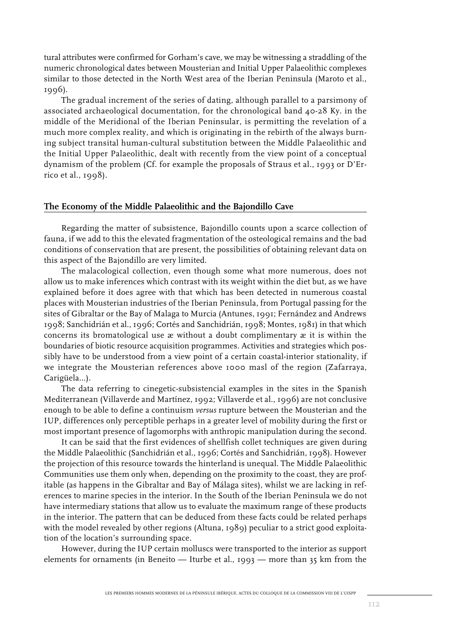tural attributes were confirmed for Gorham's cave, we may be witnessing a straddling of the numeric chronological dates between Mousterian and Initial Upper Palaeolithic complexes similar to those detected in the North West area of the Iberian Peninsula (Maroto et al., 1996).

The gradual increment of the series of dating, although parallel to a parsimony of associated archaeological documentation, for the chronological band 40-28 Ky. in the middle of the Meridional of the Iberian Peninsular, is permitting the revelation of a much more complex reality, and which is originating in the rebirth of the always burning subject transital human-cultural substitution between the Middle Palaeolithic and the Initial Upper Palaeolithic, dealt with recently from the view point of a conceptual dynamism of the problem (Cf. for example the proposals of Straus et al., 1993 or D'Errico et al., 1998).

#### **The Economy of the Middle Palaeolithic and the Bajondillo Cave**

Regarding the matter of subsistence, Bajondillo counts upon a scarce collection of fauna, if we add to this the elevated fragmentation of the osteological remains and the bad conditions of conservation that are present, the possibilities of obtaining relevant data on this aspect of the Bajondillo are very limited.

The malacological collection, even though some what more numerous, does not allow us to make inferences which contrast with its weight within the diet but, as we have explained before it does agree with that which has been detected in numerous coastal places with Mousterian industries of the Iberian Peninsula, from Portugal passing for the sites of Gibraltar or the Bay of Malaga to Murcia (Antunes, 1991; Fernández and Andrews 1998; Sanchidrián et al., 1996; Cortés and Sanchidrián, 1998; Montes, 1981) in that which concerns its bromatological use æ without a doubt complimentary æ it is within the boundaries of biotic resource acquisition programmes. Activities and strategies which possibly have to be understood from a view point of a certain coastal-interior stationality, if we integrate the Mousterian references above 1000 masl of the region (Zafarraya, Carigüela...).

The data referring to cinegetic-subsistencial examples in the sites in the Spanish Mediterranean (Villaverde and Martínez, 1992; Villaverde et al., 1996) are not conclusive enough to be able to define a continuism *versus* rupture between the Mousterian and the IUP, differences only perceptible perhaps in a greater level of mobility during the first or most important presence of lagomorphs with anthropic manipulation during the second.

It can be said that the first evidences of shellfish collet techniques are given during the Middle Palaeolithic (Sanchidrián et al., 1996; Cortés and Sanchidrián, 1998). However the projection of this resource towards the hinterland is unequal. The Middle Palaeolithic Communities use them only when, depending on the proximity to the coast, they are profitable (as happens in the Gibraltar and Bay of Málaga sites), whilst we are lacking in references to marine species in the interior. In the South of the Iberian Peninsula we do not have intermediary stations that allow us to evaluate the maximum range of these products in the interior. The pattern that can be deduced from these facts could be related perhaps with the model revealed by other regions (Altuna, 1989) peculiar to a strict good exploitation of the location's surrounding space.

However, during the IUP certain molluscs were transported to the interior as support elements for ornaments (in Beneito — Iturbe et al., 1993 — more than 35 km from the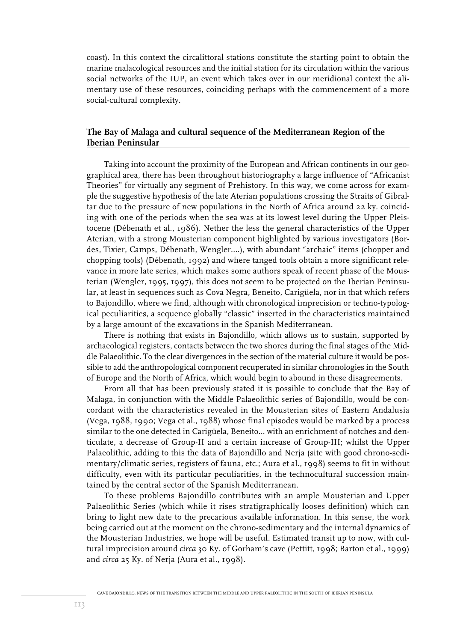coast). In this context the circalittoral stations constitute the starting point to obtain the marine malacological resources and the initial station for its circulation within the various social networks of the IUP, an event which takes over in our meridional context the alimentary use of these resources, coinciding perhaps with the commencement of a more social-cultural complexity.

### **The Bay of Malaga and cultural sequence of the Mediterranean Region of the Iberian Peninsular**

Taking into account the proximity of the European and African continents in our geographical area, there has been throughout historiography a large influence of "Africanist Theories" for virtually any segment of Prehistory. In this way, we come across for example the suggestive hypothesis of the late Aterian populations crossing the Straits of Gibraltar due to the pressure of new populations in the North of Africa around 22 ky. coinciding with one of the periods when the sea was at its lowest level during the Upper Pleistocene (Débenath et al., 1986). Nether the less the general characteristics of the Upper Aterian, with a strong Mousterian component highlighted by various investigators (Bordes, Tixier, Camps, Débenath, Wengler....), with abundant "archaic" items (chopper and chopping tools) (Débenath, 1992) and where tanged tools obtain a more significant relevance in more late series, which makes some authors speak of recent phase of the Mousterian (Wengler, 1995, 1997), this does not seem to be projected on the Iberian Peninsular, at least in sequences such as Cova Negra, Beneito, Carigüela, nor in that which refers to Bajondillo, where we find, although with chronological imprecision or techno-typological peculiarities, a sequence globally "classic" inserted in the characteristics maintained by a large amount of the excavations in the Spanish Mediterranean.

There is nothing that exists in Bajondillo, which allows us to sustain, supported by archaeological registers, contacts between the two shores during the final stages of the Middle Palaeolithic. To the clear divergences in the section of the material culture it would be possible to add the anthropological component recuperated in similar chronologies in the South of Europe and the North of Africa, which would begin to abound in these disagreements.

From all that has been previously stated it is possible to conclude that the Bay of Malaga, in conjunction with the Middle Palaeolithic series of Bajondillo, would be concordant with the characteristics revealed in the Mousterian sites of Eastern Andalusia (Vega, 1988, 1990; Vega et al., 1988) whose final episodes would be marked by a process similar to the one detected in Carigüela, Beneito... with an enrichment of notches and denticulate, a decrease of Group-II and a certain increase of Group-III; whilst the Upper Palaeolithic, adding to this the data of Bajondillo and Nerja (site with good chrono-sedimentary/climatic series, registers of fauna, etc.; Aura et al., 1998) seems to fit in without difficulty, even with its particular peculiarities, in the technocultural succession maintained by the central sector of the Spanish Mediterranean.

To these problems Bajondillo contributes with an ample Mousterian and Upper Palaeolithic Series (which while it rises stratigraphically looses definition) which can bring to light new date to the precarious available information. In this sense, the work being carried out at the moment on the chrono-sedimentary and the internal dynamics of the Mousterian Industries, we hope will be useful. Estimated transit up to now, with cultural imprecision around *circa* 30 Ky. of Gorham's cave (Pettitt, 1998; Barton et al., 1999) and *circa* 25 Ky. of Nerja (Aura et al., 1998).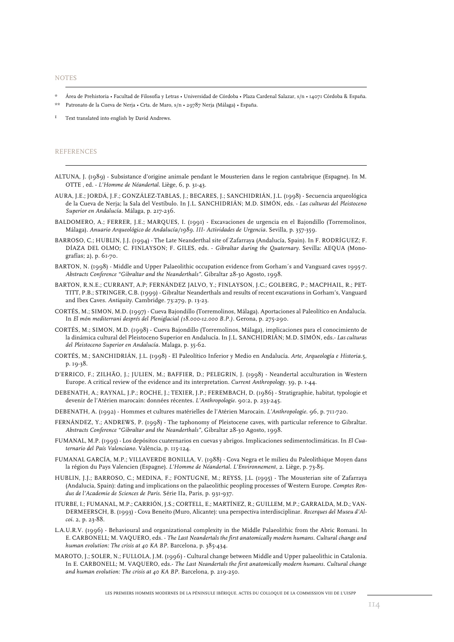**NOTES** 

- \* Área de Prehistoria Facultad de Filosofia y Letras Universidad de Córdoba Plaza Cardenal Salazar, s/n 14071 Córdoba & España.
- \*\* Patronato de la Cueva de Nerja Crta. de Maro, s/n 29787 Nerja (Málaga) España.

1 Text translated into english by David Andrews.

#### REFERENCES

- ALTUNA, J. (1989) Subsistance d'origine animale pendant le Mousterien dans le region cantabrique (Espagne). In M. OTTE , ed. - *L'Homme de Néandertal*. Liège, 6, p. 31-43.
- AURA, J.E.; JORDÁ, J.F.; GONZÁLEZ-TABLAS, J.; BECARES, J.; SANCHIDRIÁN, J.L. (1998) Secuencia arqueológica de la Cueva de Nerja; la Sala del Vestíbulo. In J.L. SANCHIDRIÁN; M.D. SIMÓN, eds. - *Las culturas del Pleistoceno Superior en Andalucía*. Málaga, p. 217-236.
- BALDOMERO, A.; FERRER, J.E.; MARQUES, I. (1991) Excavaciones de urgencia en el Bajondillo (Torremolinos, Málaga). *Anuario Arqueológico de Andalucía/1989. III- Actividades de Urgencia*. Sevilla, p. 357-359.
- BARROSO, C.; HUBLIN, J.J. (1994) The Late Neanderthal site of Zafarraya (Andalucía, Spain). In F. RODRÍGUEZ; F. DÍAZA DEL OLMO; C. FINLAYSON; F. GILES, eds. - *Gibraltar during the Quaternary*. Sevilla: AEQUA (Monografías; 2), p. 61-70.
- BARTON, N. (1998) Middle and Upper Palaeolithic occupation evidence from Gorham´s and Vanguard caves 1995-7. *Abstracts Conference "Gibraltar and the Neanderthals"*. Gibraltar 28-30 Agosto, 1998.
- BARTON, R.N.E.; CURRANT, A.P; FERNÁNDEZ JALVO, Y.; FINLAYSON, J.C.; GOLBERG, P.; MACPHAIL, R.; PET-TITT, P.B.; STRINGER, C.B. (1999) - Gibraltar Neanderthals and results of recent excavations in Gorham's, Vanguard and Ibex Caves. *Antiquity*. Cambridge. 73:279, p. 13-23.
- CORTÉS, M.; SIMON, M.D. (1997) Cueva Bajondillo (Torremolinos, Málaga). Aportaciones al Paleolítico en Andalucía. In *El món mediterrani després del Pleniglacial (18.000-12.000 B.P.)*. Gerona, p. 275-290.
- CORTÉS, M.; SIMON, M.D. (1998) Cueva Bajondillo (Torremolinos, Málaga), implicaciones para el conocimiento de la dinámica cultural del Pleistoceno Superior en Andalucía. In J.L. SANCHIDRIÁN; M.D. SIMÓN, eds.- *Las culturas del Pleistoceno Superior en Andalucía*. Malaga, p. 35-62.
- CORTÉS, M.; SANCHIDRIÁN, J.L. (1998) El Paleolítico Inferior y Medio en Andalucía. *Arte, Arqueología e Historia.*5, p. 19-38.
- D'ERRICO, F.; ZILHÃO, J.; JULIEN, M.; BAFFIER, D.; PELEGRIN, J. (1998) Neandertal acculturation in Western Europe. A critical review of the evidence and its interpretation. *Current Anthropology*. 39, p. 1-44.
- DEBENATH, A.; RAYNAL, J.P.; ROCHE, J.; TEXIER, J.P.; FEREMBACH, D. (1986) Stratigraphie, habitat, typologie et devenir de l'Atérien marocain: données récentes. *L'Anthropologie*. 90:2, p. 233-245.
- DEBENATH, A. (1992) Hommes et cultures matérielles de l'Atérien Marocain. *L'Anthropologie*. 96, p. 711-720.
- FERNÁNDEZ, Y.; ANDREWS, P. (1998) The taphonomy of Pleistocene caves, with particular reference to Gibraltar. *Abstracts Conference "Gibraltar and the Neanderthals"*, Gibraltar 28-30 Agosto, 1998.
- FUMANAL, M.P. (1995) Los depósitos cuaternarios en cuevas y abrigos. Implicaciones sedimentoclimáticas. In *El Cuaternario del País Valenciano*. València, p. 115-124.
- FUMANAL GARCÍA, M.P.; VILLAVERDE BONILLA, V. (1988) Cova Negra et le milieu du Paleolithique Moyen dans la région du Pays Valencien (Espagne). *L'Homme de Néandertal. L'Environnement*, 2. Liège, p. 73-85.
- HUBLIN, J.J.; BARROSO, C.; MEDINA, F.; FONTUGNE, M.; REYSS, J.L. (1995) The Mousterian site of Zafarraya (Andalucia, Spain): dating and implications on the palaeolithic peopling processes of Western Europe. *Comptes Rendus de l'Academie de Sciences de Paris*. Série IIa, Paris, p. 931-937.
- ITURBE, I.; FUMANAL, M.P.; CARRIÓN, J.S.; CORTELL, E.; MARTÍNEZ, R.; GUILLEM, M.P.; GARRALDA, M.D.; VAN-DERMEERSCH, B. (1993) - Cova Beneito (Muro, Alicante): una perspectiva interdisciplinar. *Recerques del Museu d'Alcoi*. 2, p. 23-88.
- L.A.U.R.V. (1996) Behavioural and organizational complexity in the Middle Palaeolithic from the Abric Romani. In E. CARBONELL; M. VAQUERO, eds. - *The Last Neandertals the first anatomically modern humans. Cultural change and human evolution: The crisis at 40 KA BP*. Barcelona, p. 385-434.
- MAROTO, J.; SOLER, N.; FULLOLA, J.M. (1996) Cultural change between Middle and Upper palaeolithic in Catalonia. In E. CARBONELL; M. VAQUERO, eds.- *The Last Neandertals the first anatomically modern humans. Cultural change and human evolution: The crisis at 40 KA BP*. Barcelona, p. 219-250.

LES PREMIERS HOMMES MODERNES DE LA PÉNINSULE IBÉRIQUE. ACTES DU COLLOQUE DE LA COMMISSION VIII DE L'UISPP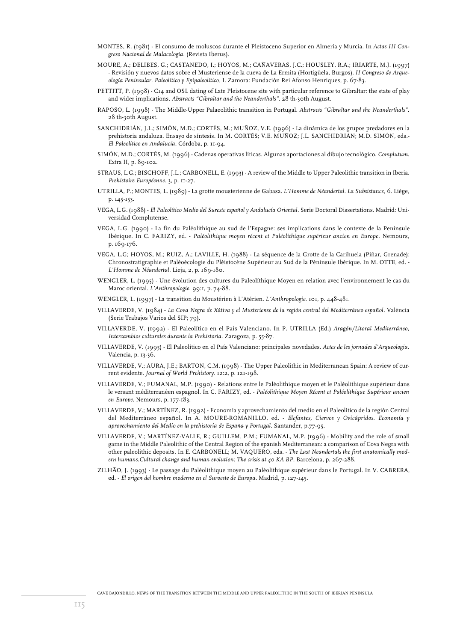- MONTES, R. (1981) El consumo de moluscos durante el Pleistoceno Superior en Almería y Murcia. In *Actas III Congreso Nacional de Malacología*. (Revista Iberus).
- MOURE, A.; DELIBES, G.; CASTANEDO, I.; HOYOS, M.; CAÑAVERAS, J.C.; HOUSLEY, R.A.; IRIARTE, M.J. (1997) - Revisión y nuevos datos sobre el Musteriense de la cueva de La Ermita (Hortigüela, Burgos). *II Congreso de Arqueología Peninsular. Paleolítico y Epipaleolítico*, I. Zamora: Fundación Rei Afonso Henriques, p. 67-83.
- PETTITT, P. (1998) C14 and OSL dating of Late Pleistocene site with particular reference to Gibraltar: the state of play and wider implications. *Abstracts "Gibraltar and the Neanderthals"*. 28 th-30th August.
- RAPOSO, L. (1998) The Middle-Upper Palaeolithic transition in Portugal. *Abstracts "Gibraltar and the Neanderthals"*. 28 th-30th August.
- SANCHIDRIÁN, J.L.; SIMÓN, M.D.; CORTÉS, M.; MUÑOZ, V.E. (1996) La dinámica de los grupos predadores en la prehistoria andaluza. Ensayo de síntesis. In M. CORTÉS; V.E. MUÑOZ; J.L. SANCHIDRIÁN; M.D. SIMÓN, eds.- *El Paleolítico en Andalucía*. Córdoba, p. 11-94.
- SIMÓN, M.D.; CORTÉS, M. (1996) Cadenas operativas líticas. Algunas aportaciones al dibujo tecnológico. *Complutum*. Extra II, p. 89-102.
- STRAUS, L.G.; BISCHOFF, J.L.; CARBONELL, E. (1993) A review of the Middle to Upper Paleolithic transition in Iberia. *Prehistoire Européenne*. 3, p. 11-27.
- UTRILLA, P.; MONTES, L. (1989) La grotte mousterienne de Gabasa. *L'Homme de Néandertal. La Subsistance*, 6. Liège, p. 145-153.
- VEGA, L.G. (1988) *El Paleolítico Medio del Sureste español y Andalucía Oriental*. Serie Doctoral Dissertations. Madrid: Universidad Complutense.
- VEGA, L.G. (1990) La fin du Paléolithique au sud de l'Espagne: ses implications dans le contexte de la Peninsule Ibérique. In C. FARIZY, ed. - *Paléolithique moyen récent et Paléolithique supérieur ancien en Europe*. Nemours, p. 169-176.
- VEGA, L.G; HOYOS, M.; RUIZ, A.; LAVILLE, H. (1988) La séquence de la Grotte de la Carihuela (Piñar, Grenade): Chronostratigraphie et Paléoécologie du Pléistocène Supérieur au Sud de la Péninsule Ibérique. In M. OTTE, ed. - *L'Homme de Néandertal*. Lieja, 2, p. 169-180.
- WENGLER, L. (1995) Une évolution des cultures du Paleolíthique Moyen en relation avec l'environnement le cas du Maroc oriental. *L'Anthropologie*. 99:1, p. 74-88.
- WENGLER, L. (1997) La transition du Moustérien à L'Atérien. *L´Anthropologie*. 101, p. 448-481.
- VILLAVERDE, V. (1984) *La Cova Negra de Xàtiva y el Musteriense de la región central del Mediterráneo español*. València (Serie Trabajos Varios del SIP; 79).
- VILLAVERDE, V. (1992) El Paleolítico en el País Valenciano. In P. UTRILLA (Ed.) *Aragón/Litoral Mediterráneo, Intercambios culturales durante la Prehistoria*. Zaragoza, p. 55-87.
- VILLAVERDE, V. (1995) El Paleolítico en el País Valenciano: principales novedades. *Actes de les jornades d'Arqueologia*. Valencia, p. 13-36.
- VILLAVERDE, V.; AURA, J.E.; BARTON, C.M. (1998) The Upper Paleolithic in Mediterranean Spain: A review of current evidente. *Journal of World Prehistory*. 12:2, p. 121-198.
- VILLAVERDE, V.; FUMANAL, M.P. (1990) Relations entre le Paléolithique moyen et le Paléolithique supérieur dans le versant méditerranéen espagnol. In C. FARIZY, ed. - *Paléolithique Moyen Récent et Paléolithique Supérieur ancien en Europe*. Nemours, p. 177-183.
- VILLAVERDE, V.; MARTÍNEZ, R. (1992) Economía y aprovechamiento del medio en el Paleolítico de la región Central del Mediterráneo español. In A. MOURE-ROMANILLO, ed. - *Elefantes, Ciervos y Ovicápridos. Economía y aprovechamiento del Medio en la prehistoria de España y Portugal*. Santander, p.77-95.
- VILLAVERDE, V.; MARTÍNEZ-VALLE, R.; GUILLEM, P.M.; FUMANAL, M.P. (1996) Mobility and the role of small game in the Middle Paleolithic of the Central Region of the spanish Mediterranean: a comparison of Cova Negra with other paleolithic deposits. In E. CARBONELL; M. VAQUERO, eds. - *The Last Neandertals the first anatomically modern humans.Cultural change and human evolution: The crisis at 40 KA BP*. Barcelona, p. 267-288.
- ZILHÃO, J. (1993) Le passage du Paléolithique moyen au Paléolithique supérieur dans le Portugal. In V. CABRERA, ed. - *El origen del hombre moderno en el Suroeste de Europa*. Madrid, p. 127-145.